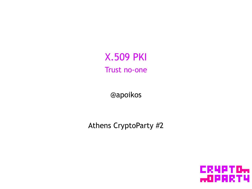**X.509 PKI** Trust no-one

@apoikos

Athens CryptoParty #2

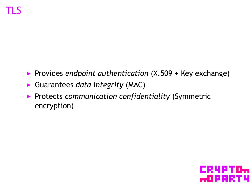- ▶ Provides *endpoint authentication* (X.509 + Key exchange)
- ▶ Guarantees *data integrity* (MAC)
- ▶ Protects *communication confidentiality* (Symmetric encryption)

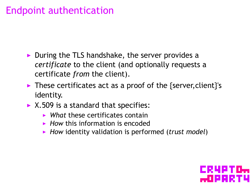# Endpoint authentication

- ▶ During the TLS handshake, the server provides a *certificate* to the client (and optionally requests a certificate *from* the client).
- ▶ These certificates act as a proof of the {server,client}'s identity.
- $\triangleright$  X.509 is a standard that specifies:
	- ▶ *What* these certificates contain
	- ▶ *How* this information is encoded
	- ▶ *How* identity validation is performed (*trust model*)

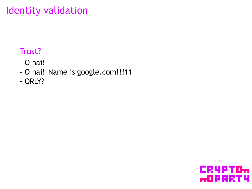# Identity validation

#### . Trust? .

- O hai!
- O hai! Name is google.com!!!11
- . ORLY?

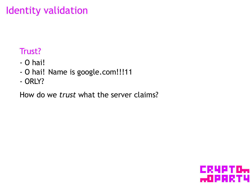# Identity validation

#### . Trust? .

- O hai!
- O hai! Name is google.com!!!11
- . ORLY?

How do we *trust* what the server claims?

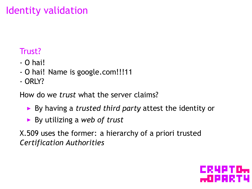# Identity validation

#### . Trust? .

- O hai!
- O hai! Name is google.com!!!11
- . ORLY?

How do we *trust* what the server claims?

- ▶ By having a *trusted third party* attest the identity or
- ▶ By utilizing a *web of trust*

X.509 uses the former: a hierarchy of a priori trusted *Certification Authorities*

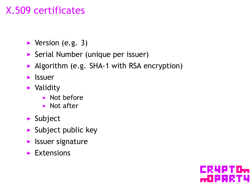# X.509 certificates

- $\blacktriangleright$  Version (e.g. 3)
- ▶ Serial Number (unique per issuer)
- ▶ Algorithm (e.g. SHA-1 with RSA encryption)
- ▶ Issuer
- ▶ Validity
	- ▶ Not before
	- ▶ Not after
- ▶ Subject
- $\blacktriangleright$  Subject public key
- ▶ Issuer signature
- $\blacktriangleright$  Extensions

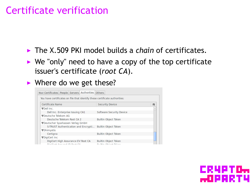### Certificate verification

- ▶ The X.509 PKI model builds a *chain* of certificates.
- $\triangleright$  We "only" need to have a copy of the top certificate issuer's certificate (*root CA*).
- ▶ Where do we get these?



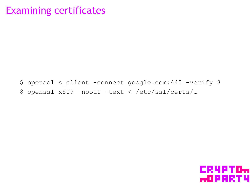### **Examining certificates**

\$ openssl s client -connect google.com: 443 -verify 3 \$ openssl x509 -noout -text < /etc/ssl/certs/...

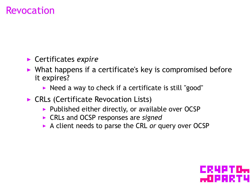### Revocation

- ▶ Certificates *expire*
- $\triangleright$  What happens if a certificate's key is compromised before it expires?
	- ▶ Need a way to check if a certificate is still "good"
- ▶ CRLs (Certificate Revocation Lists)
	- ▶ Published either directly, or available over OCSP
	- ▶ CRLs and OCSP responses are *signed*
	- ▶ A client needs to parse the CRL *or* query over OCSP

ISI SEMBANG K